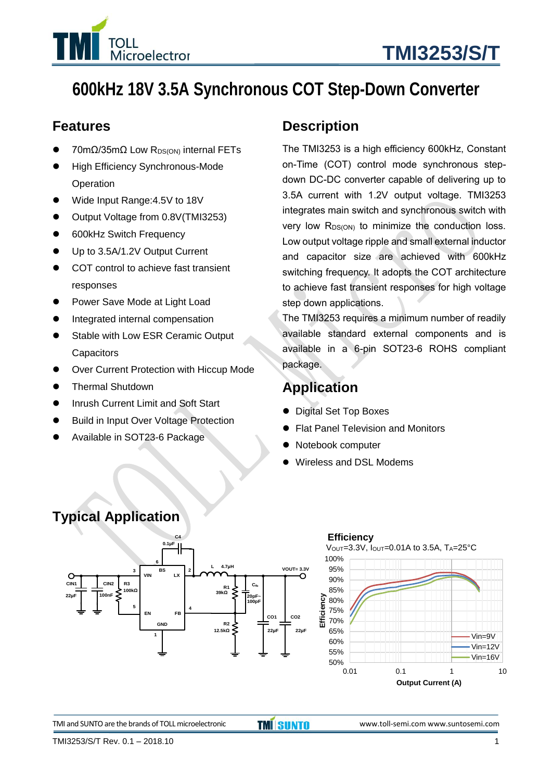

# **600kHz 18V 3.5A Synchronous COT Step-Down Converter**

### **Features**

- 70mΩ/35mΩ Low R<sub>DS(ON)</sub> internal FETs
- High Efficiency Synchronous-Mode **Operation**
- ⚫ Wide Input Range:4.5V to 18V
- ⚫ Output Voltage from 0.8V(TMI3253)
- 600kHz Switch Frequency
- Up to 3.5A/1.2V Output Current
- COT control to achieve fast transient responses
- ⚫ Power Save Mode at Light Load
- ⚫ Integrated internal compensation
- ⚫ Stable with Low ESR Ceramic Output **Capacitors**
- Over Current Protection with Hiccup Mode
- ⚫ Thermal Shutdown
- ⚫ Inrush Current Limit and Soft Start
- ⚫ Build in Input Over Voltage Protection
- ⚫ Available in SOT23-6 Package

### **Description**

The TMI3253 is a high efficiency 600kHz, Constant on-Time (COT) control mode synchronous stepdown DC-DC converter capable of delivering up to 3.5A current with 1.2V output voltage. TMI3253 integrates main switch and synchronous switch with very low  $R_{DS(ON)}$  to minimize the conduction loss. Low output voltage ripple and small external inductor and capacitor size are achieved with 600kHz switching frequency. It adopts the COT architecture to achieve fast transient responses for high voltage step down applications.

The TMI3253 requires a minimum number of readily available standard external components and is available in a 6-pin SOT23-6 ROHS compliant package.

### **Application**

- ⚫ Digital Set Top Boxes
- ⚫ Flat Panel Television and Monitors
- ⚫ Notebook computer
- ⚫ Wireless and DSL Modems

### **Typical Application**



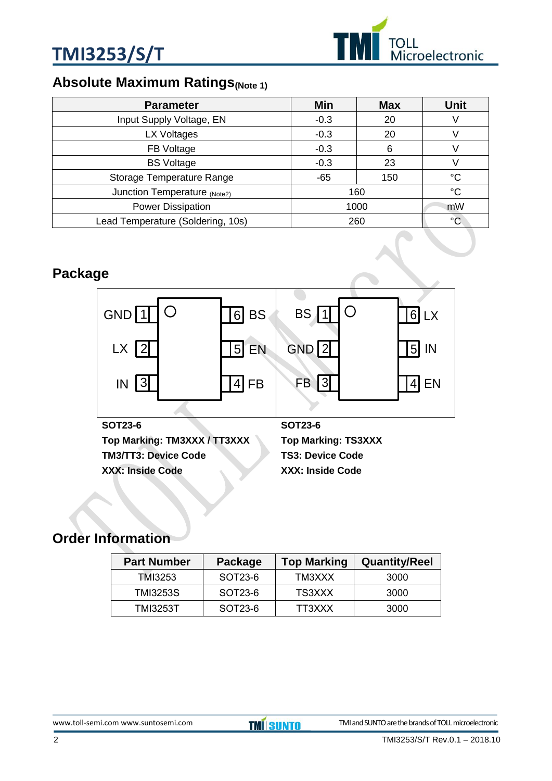



### **Absolute Maximum Ratings**(Note 1)

| <b>Parameter</b>                  | Min    | <b>Max</b>  | <b>Unit</b> |
|-----------------------------------|--------|-------------|-------------|
| Input Supply Voltage, EN          | $-0.3$ | 20          |             |
| LX Voltages                       | $-0.3$ | 20          |             |
| FB Voltage                        | $-0.3$ | 6           |             |
| <b>BS Voltage</b>                 | $-0.3$ | 23          |             |
| Storage Temperature Range         | $-65$  | 150         | °C          |
| Junction Temperature (Note2)      | 160    | $^{\circ}C$ |             |
| Power Dissipation                 | 1000   | mW          |             |
| Lead Temperature (Soldering, 10s) |        | 260         | °C          |

### **Package**



### **Order Information**

| <b>Part Number</b> | Package | <b>Top Marking</b> | <b>Quantity/Reel</b> |
|--------------------|---------|--------------------|----------------------|
| TMI3253            | SOT23-6 | TM3XXX             | 3000                 |
| TMI3253S           | SOT23-6 | TS3XXX             | 3000                 |
| TMI3253T           | SOT23-6 | TT3XXX             | 3000                 |

### [www.toll-semi.com](http://www.toll-semi.com/) www.suntosemi.com **TMI SUNTO** TMI and SUNTO are the brands of TOLL microelectronic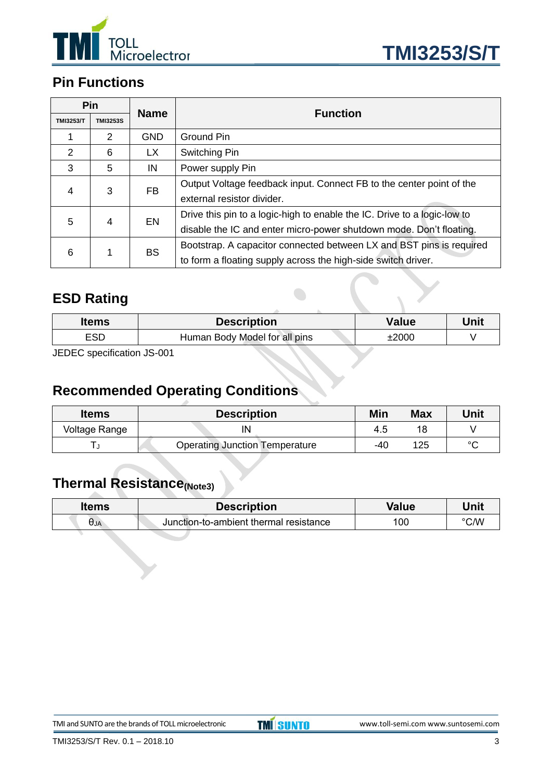



### **Pin Functions**

|                  | Pin             | <b>Name</b> | <b>Function</b>                                                          |
|------------------|-----------------|-------------|--------------------------------------------------------------------------|
| <b>TMI3253/T</b> | <b>TMI3253S</b> |             |                                                                          |
|                  | $\overline{2}$  | <b>GND</b>  | <b>Ground Pin</b>                                                        |
| 2                | 6               | <b>LX</b>   | Switching Pin                                                            |
| 3                | 5               | IN          | Power supply Pin                                                         |
|                  |                 | FB          | Output Voltage feedback input. Connect FB to the center point of the     |
| 3<br>4           |                 |             | external resistor divider.                                               |
| 5                | 4               | EN          | Drive this pin to a logic-high to enable the IC. Drive to a logic-low to |
|                  |                 |             | disable the IC and enter micro-power shutdown mode. Don't floating.      |
| 1                |                 | <b>BS</b>   | Bootstrap. A capacitor connected between LX and BST pins is required     |
| 6                |                 |             | to form a floating supply across the high-side switch driver.            |

### **ESD Rating**

| <b>Items</b> | <b>Description</b>            | Value | Unit |
|--------------|-------------------------------|-------|------|
| <b>ESD</b>   | Human Body Model for all pins | ±2000 |      |
|              |                               |       |      |

JEDEC specification JS-001

### **Recommended Operating Conditions**

| <b>Items</b>  | <b>Description</b>                    | Min | <b>Max</b> | Unit   |
|---------------|---------------------------------------|-----|------------|--------|
| Voltage Range | IN                                    | 4.5 | 18         |        |
|               | <b>Operating Junction Temperature</b> | -40 | 125        | $\sim$ |

### **Thermal Resistance(Note3)**

| ltems | <b>Description</b>                     | <b>Value</b> | Unit |
|-------|----------------------------------------|--------------|------|
| UJA   | Junction-to-ambient thermal resistance | 100          | ℃/W  |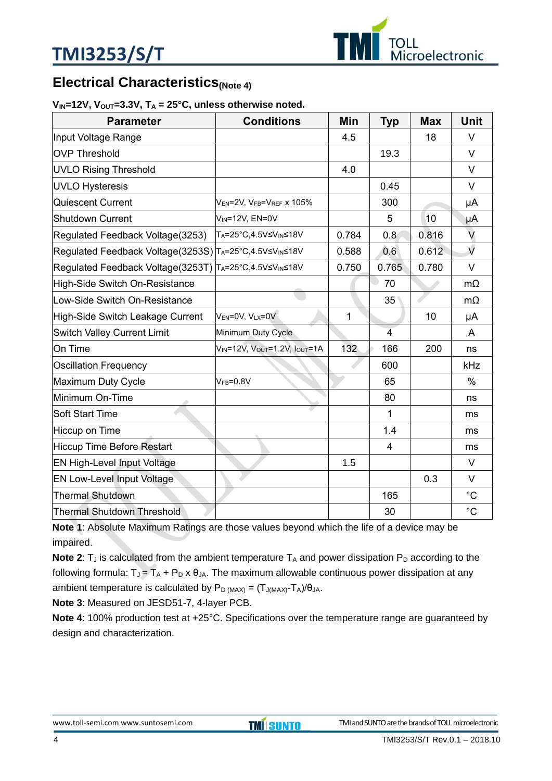

### **Electrical Characteristics**(Note 4)

#### $V_{IN}$ =12V,  $V_{OUT}$ =3.3V,  $T_A$  = 25°C, unless otherwise noted.

| <b>Parameter</b>                                       | <b>Conditions</b>                                             | Min   | <b>Typ</b>     | <b>Max</b> | <b>Unit</b> |
|--------------------------------------------------------|---------------------------------------------------------------|-------|----------------|------------|-------------|
| Input Voltage Range                                    |                                                               | 4.5   |                | 18         | $\vee$      |
| <b>OVP Threshold</b>                                   |                                                               |       | 19.3           |            | $\vee$      |
| <b>UVLO Rising Threshold</b>                           |                                                               | 4.0   |                |            | $\vee$      |
| <b>UVLO Hysteresis</b>                                 |                                                               |       | 0.45           |            | $\vee$      |
| Quiescent Current                                      | V <sub>EN</sub> =2V, V <sub>FB</sub> =V <sub>REF</sub> x 105% |       | 300            |            | μA          |
| <b>Shutdown Current</b>                                | $V_{IN} = 12V$ , $EN = 0V$                                    |       | 5              | 10         | μA          |
| Regulated Feedback Voltage(3253)                       | TA=25°C,4.5V≤VIN≤18V                                          | 0.784 | 0.8            | 0.816      | V           |
| Regulated Feedback Voltage(3253S) TA=25°C,4.5V≤VIN≤18V |                                                               | 0.588 | 0.6            | 0.612      | $\sqrt{2}$  |
| Regulated Feedback Voltage(3253T) TA=25°C,4.5V≤VM≤18V  |                                                               | 0.750 | 0.765          | 0.780      | V           |
| High-Side Switch On-Resistance                         |                                                               |       | 70             |            | $m\Omega$   |
| Low-Side Switch On-Resistance                          |                                                               |       | 35             |            | $m\Omega$   |
| High-Side Switch Leakage Current                       | V <sub>EN</sub> =0V, VLx=0V                                   | 1     |                | 10         | μA          |
| <b>Switch Valley Current Limit</b>                     | Minimum Duty Cycle                                            |       | $\overline{4}$ |            | A           |
| On Time                                                | VIN=12V, VOUT=1.2V, IOUT=1A                                   | 132   | 166            | 200        | ns          |
| <b>Oscillation Frequency</b>                           |                                                               |       | 600            |            | kHz         |
| Maximum Duty Cycle                                     | $VFB=0.8V$                                                    |       | 65             |            | $\%$        |
| Minimum On-Time                                        |                                                               |       | 80             |            | ns          |
| Soft Start Time                                        |                                                               |       | 1              |            | ms          |
| Hiccup on Time                                         |                                                               |       | 1.4            |            | ms          |
| Hiccup Time Before Restart                             |                                                               |       | 4              |            | ms          |
| EN High-Level Input Voltage                            |                                                               | 1.5   |                |            | $\vee$      |
| <b>EN Low-Level Input Voltage</b>                      |                                                               |       |                | 0.3        | V           |
| <b>Thermal Shutdown</b>                                |                                                               |       | 165            |            | $^{\circ}C$ |
| <b>Thermal Shutdown Threshold</b>                      |                                                               |       | 30             |            | $^{\circ}C$ |

**Note 1**: Absolute Maximum Ratings are those values beyond which the life of a device may be impaired.

**Note 2:**  $T_J$  is calculated from the ambient temperature  $T_A$  and power dissipation  $P_D$  according to the following formula:  $T_J = T_A + P_D \times \theta_{JA}$ . The maximum allowable continuous power dissipation at any ambient temperature is calculated by  $P_D_{(MAX)} = (T_{J(MAX)} - T_A)/\theta_{JA}$ .

**Note 3**: Measured on JESD51-7, 4-layer PCB.

**Note 4**: 100% production test at +25°C. Specifications over the temperature range are guaranteed by design and characterization.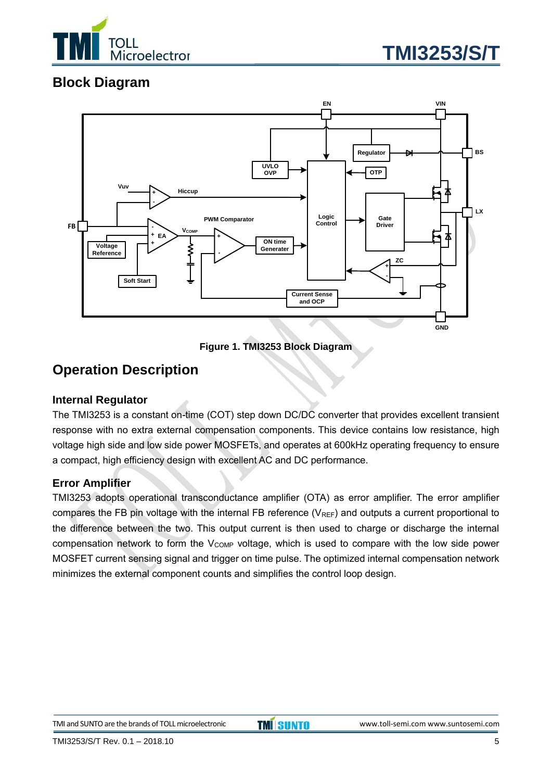



### **Block Diagram**



**Figure 1. TMI3253 Block Diagram**

### **Operation Description**

#### **Internal Regulator**

The TMI3253 is a constant on-time (COT) step down DC/DC converter that provides excellent transient response with no extra external compensation components. This device contains low resistance, high voltage high side and low side power MOSFETs, and operates at 600kHz operating frequency to ensure a compact, high efficiency design with excellent AC and DC performance.

#### **Error Amplifier**

TMI3253 adopts operational transconductance amplifier (OTA) as error amplifier. The error amplifier compares the FB pin voltage with the internal FB reference  $(V_{REF})$  and outputs a current proportional to the difference between the two. This output current is then used to charge or discharge the internal compensation network to form the  $V_{\text{COMP}}$  voltage, which is used to compare with the low side power MOSFET current sensing signal and trigger on time pulse. The optimized internal compensation network minimizes the external component counts and simplifies the control loop design.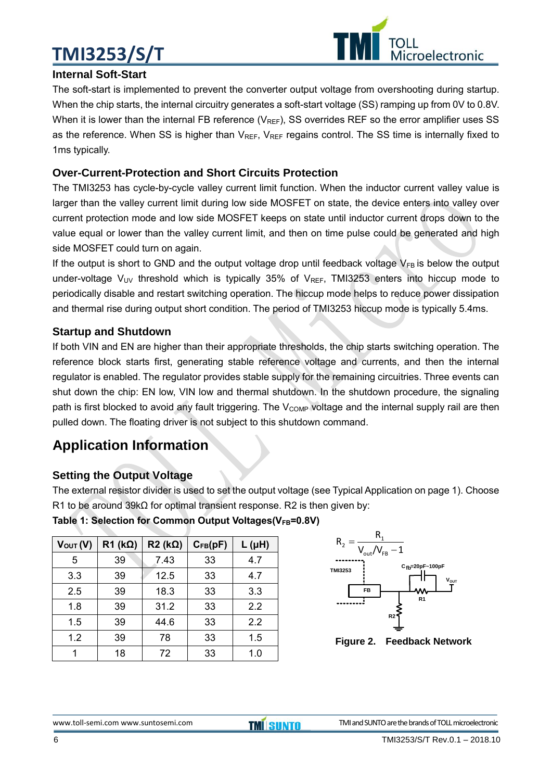# **TMI3253/S/T**



#### **Internal Soft-Start**

The soft-start is implemented to prevent the converter output voltage from overshooting during startup. When the chip starts, the internal circuitry generates a soft-start voltage (SS) ramping up from 0V to 0.8V. When it is lower than the internal FB reference ( $V_{REF}$ ), SS overrides REF so the error amplifier uses SS as the reference. When SS is higher than  $V_{REF}$ ,  $V_{REF}$  regains control. The SS time is internally fixed to 1ms typically.

#### **Over-Current-Protection and Short Circuits Protection**

The TMI3253 has cycle-by-cycle valley current limit function. When the inductor current valley value is larger than the valley current limit during low side MOSFET on state, the device enters into valley over current protection mode and low side MOSFET keeps on state until inductor current drops down to the value equal or lower than the valley current limit, and then on time pulse could be generated and high side MOSFET could turn on again.

If the output is short to GND and the output voltage drop until feedback voltage  $V_{FB}$  is below the output under-voltage  $V_{UV}$  threshold which is typically 35% of  $V_{REF}$ , TMI3253 enters into hiccup mode to periodically disable and restart switching operation. The hiccup mode helps to reduce power dissipation and thermal rise during output short condition. The period of TMI3253 hiccup mode is typically 5.4ms.

#### **Startup and Shutdown**

If both VIN and EN are higher than their appropriate thresholds, the chip starts switching operation. The reference block starts first, generating stable reference voltage and currents, and then the internal regulator is enabled. The regulator provides stable supply for the remaining circuitries. Three events can shut down the chip: EN low, VIN low and thermal shutdown. In the shutdown procedure, the signaling path is first blocked to avoid any fault triggering. The V<sub>COMP</sub> voltage and the internal supply rail are then pulled down. The floating driver is not subject to this shutdown command.

### **Application Information**

#### **Setting the Output Voltage**

The external resistor divider is used to set the output voltage (see Typical Application on page 1). Choose R1 to be around 39kΩ for optimal transient response. R2 is then given by:

| Table 1: Selection for Common Output Voltages(VFB=0.8V) |  |  |  |  |  |  |  |  |  |  |  |  |  |  |  |  |
|---------------------------------------------------------|--|--|--|--|--|--|--|--|--|--|--|--|--|--|--|--|
|---------------------------------------------------------|--|--|--|--|--|--|--|--|--|--|--|--|--|--|--|--|

| $V_{\text{OUT}}(V)$ | $R1$ (k $\Omega$ ) | $R2$ (k $\Omega$ ) | $C_{FB}(pF)$ | $L(\mu H)$ |
|---------------------|--------------------|--------------------|--------------|------------|
| 5                   | 39                 | 7.43               | 33           | 4.7        |
| 3.3                 | 39                 | 12.5               | 33           | 4.7        |
| 2.5                 | 39                 | 18.3               | 33           | 3.3        |
| 1.8                 | 39                 | 31.2               | 33           | 2.2        |
| 1.5                 | 39                 | 44.6               | 33           | 2.2        |
| 1.2                 | 39                 | 78                 | 33           | 1.5        |
|                     | 18                 | 72                 | 33           | 1.0        |



**Figure 2. Feedback Network**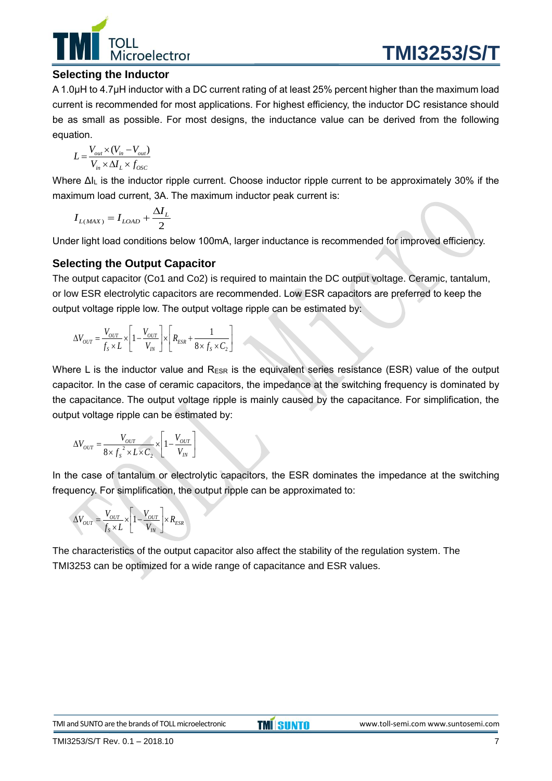

#### **Selecting the Inductor**

A 1.0μH to 4.7μH inductor with a DC current rating of at least 25% percent higher than the maximum load current is recommended for most applications. For highest efficiency, the inductor DC resistance should be as small as possible. For most designs, the inductance value can be derived from the following equation.

$$
L = \frac{V_{out} \times (V_{in} - V_{out})}{V_{in} \times \Delta I_L \times f_{OSC}}
$$

Where ΔI<sub>L</sub> is the inductor ripple current. Choose inductor ripple current to be approximately 30% if the maximum load current, 3A. The maximum inductor peak current is:

$$
I_{L(MAX)} = I_{LOAD} + \frac{\Delta I_L}{2}
$$

Under light load conditions below 100mA, larger inductance is recommended for improved efficiency.

#### **Selecting the Output Capacitor**

The output capacitor (Co1 and Co2) is required to maintain the DC output voltage. Ceramic, tantalum, or low ESR electrolytic capacitors are recommended. Low ESR capacitors are preferred to keep the output voltage ripple low. The output voltage ripple can be estimated by:

$$
\Delta V_{OUT} = \frac{V_{OUT}}{f_s \times L} \times \left[1 - \frac{V_{OUT}}{V_{IN}}\right] \times \left[R_{ESR} + \frac{1}{8 \times f_s \times C_2}\right]
$$

Where L is the inductor value and  $R_{ESR}$  is the equivalent series resistance (ESR) value of the output capacitor. In the case of ceramic capacitors, the impedance at the switching frequency is dominated by the capacitance. The output voltage ripple is mainly caused by the capacitance. For simplification, the output voltage ripple can be estimated by:

$$
\Delta V_{OUT} = \frac{V_{OUT}}{8 \times f_s^2 \times L \times C_2} \times \left[1 - \frac{V_{OUT}}{V_{IN}}\right]
$$

In the case of tantalum or electrolytic capacitors, the ESR dominates the impedance at the switching frequency. For simplification, the output ripple can be approximated to:

$$
\Delta V_{OUT} = \frac{V_{OUT}}{f_s \times L} \times \left[1 - \frac{V_{OUT}}{V_{IN}}\right] \times R_{ESR}
$$

The characteristics of the output capacitor also affect the stability of the regulation system. The TMI3253 can be optimized for a wide range of capacitance and ESR values.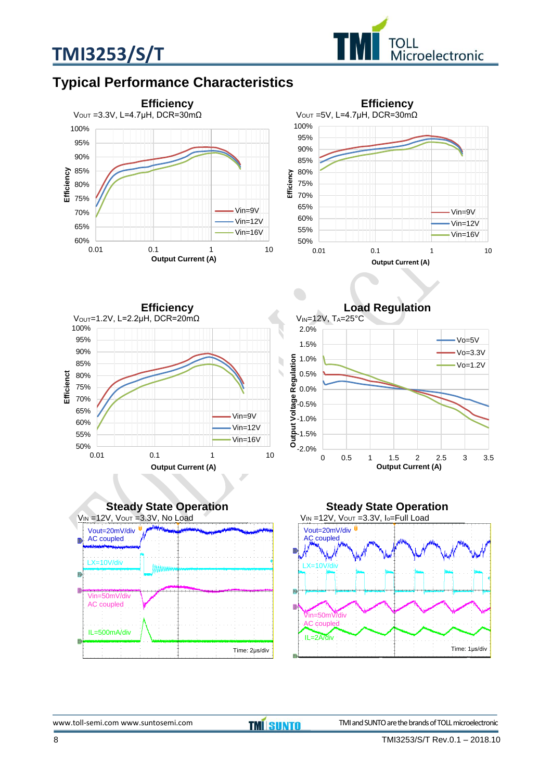



### **Typical Performance Characteristics**



**Efficiency** VOUT=1.2V, L=2.2μH, DCR=20mΩ 50% 55% 60% 65% 70% 75% 80% 85% 90% 95% 100% 0.01 0.1 1 10 **Efficienct Output Current (A)** Vin=9V Vin=12V Vin=16V







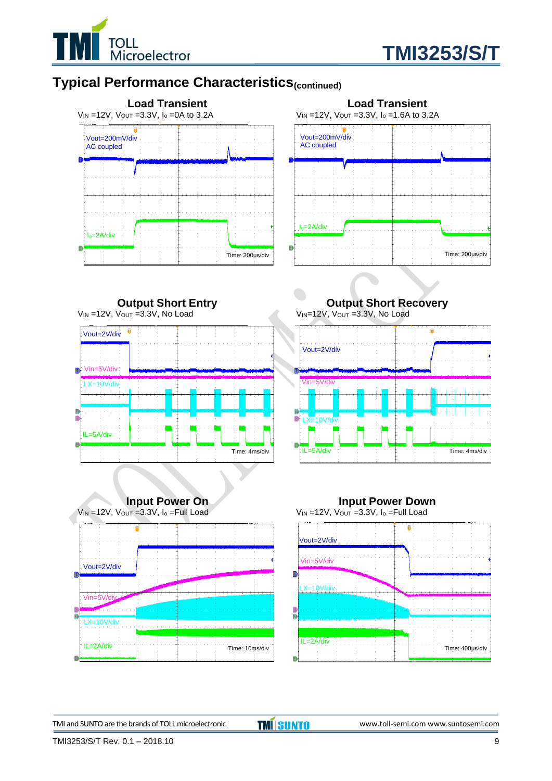



### **Typical Performance Characteristics(continued)**





**Output Short Entry**  $V_{IN}$  =12V,  $V_{OUT}$  =3.3V, No Load f Vout=2V/div Vin=5V/div  $X=10V/d$ IL=5A/div Time: 4ms/div



**Output Short Recovery** V<sub>IN</sub>=12V, V<sub>OUT</sub> =3.3V, No Load





TMI and SUNTO are the brands of TOLL microelectronic **TMI SUNTO** www.toll-semi.com www.suntosemi.com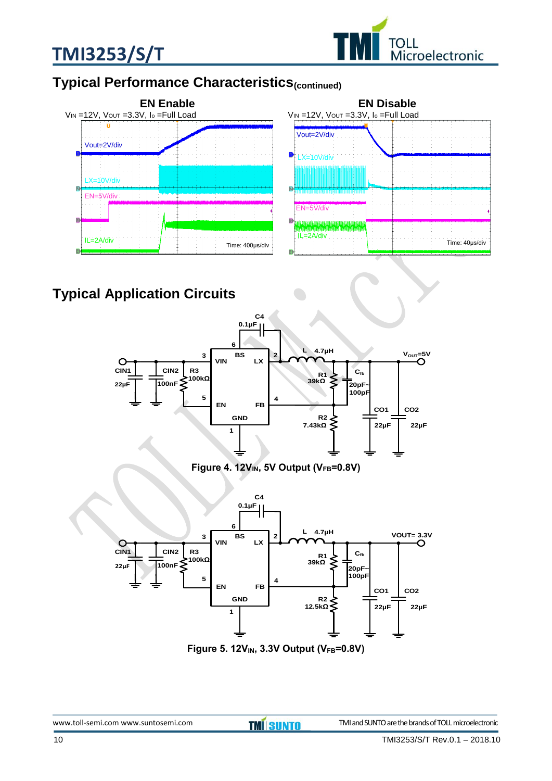



### **Typical Performance Characteristics(continued)**



### **Typical Application Circuits**



**Figure 4. 12VIN, 5V Output (VFB=0.8V)**



**Figure 5. 12VIN, 3.3V Output (VFB=0.8V)**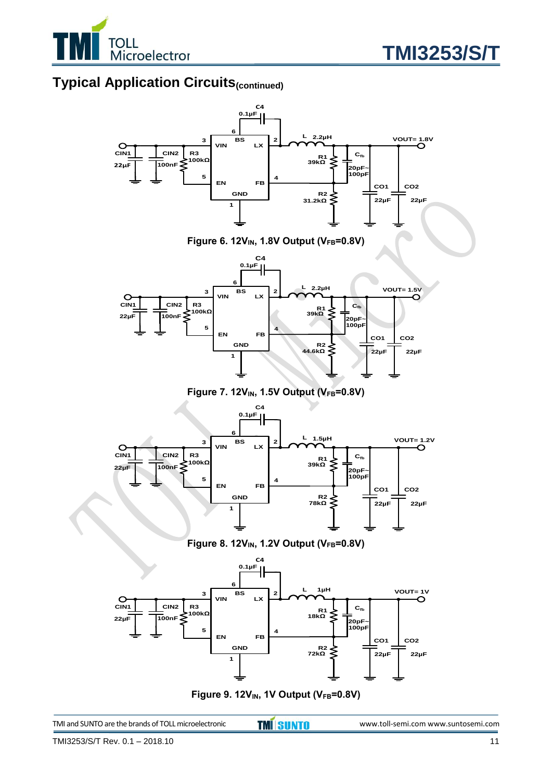

### **Typical Application Circuits(continued)**







**Figure 7. 12VIN, 1.5V Output (VFB=0.8V)**



**Figure 8. 12VIN, 1.2V Output (VFB=0.8V)**



**Figure 9. 12VIN, 1V Output (VFB=0.8V)**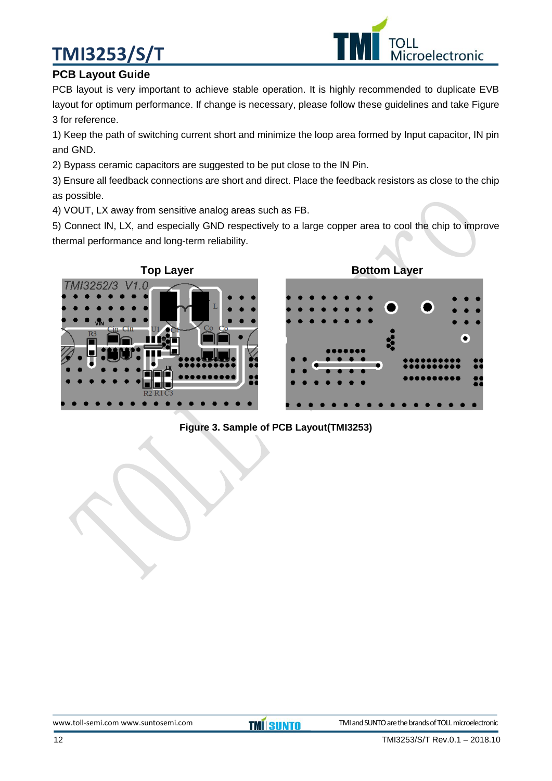# **TMI3253/S/T**



#### **PCB Layout Guide**

PCB layout is very important to achieve stable operation. It is highly recommended to duplicate EVB layout for optimum performance. If change is necessary, please follow these guidelines and take Figure 3 for reference.

1) Keep the path of switching current short and minimize the loop area formed by Input capacitor, IN pin and GND.

2) Bypass ceramic capacitors are suggested to be put close to the IN Pin.

3) Ensure all feedback connections are short and direct. Place the feedback resistors as close to the chip as possible.

4) VOUT, LX away from sensitive analog areas such as FB.

5) Connect IN, LX, and especially GND respectively to a large copper area to cool the chip to improve thermal performance and long-term reliability.



#### **Figure 3. Sample of PCB Layout(TMI3253)**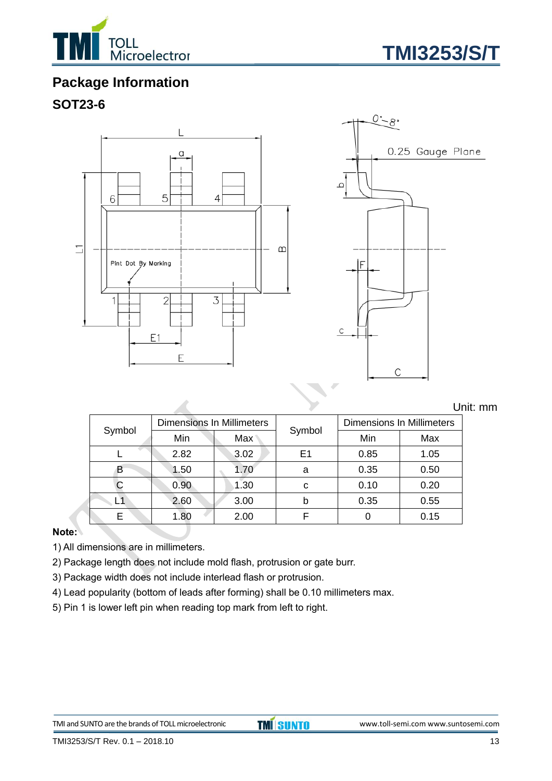



### **Package Information**

### **SOT23-6**



Unit: mm

| Symbol | <b>Dimensions In Millimeters</b> |                  |        | <b>Dimensions In Millimeters</b> |      |  |
|--------|----------------------------------|------------------|--------|----------------------------------|------|--|
|        | Min                              | Max <sup>1</sup> | Symbol | Min                              | Max  |  |
|        | 2.82                             | 3.02             | E1     | 0.85                             | 1.05 |  |
| B      | 1.50                             | 1.70             | a      | 0.35                             | 0.50 |  |
|        | 0.90                             | 1.30             | C      | 0.10                             | 0.20 |  |
|        | 2.60                             | 3.00             | b      | 0.35                             | 0.55 |  |
| E      | 1.80                             | 2.00             |        |                                  | 0.15 |  |

#### **Note:**

1) All dimensions are in millimeters.

2) Package length does not include mold flash, protrusion or gate burr.

3) Package width does not include interlead flash or protrusion.

 $\mathcal{A}$ 

4) Lead popularity (bottom of leads after forming) shall be 0.10 millimeters max.

5) Pin 1 is lower left pin when reading top mark from left to right.